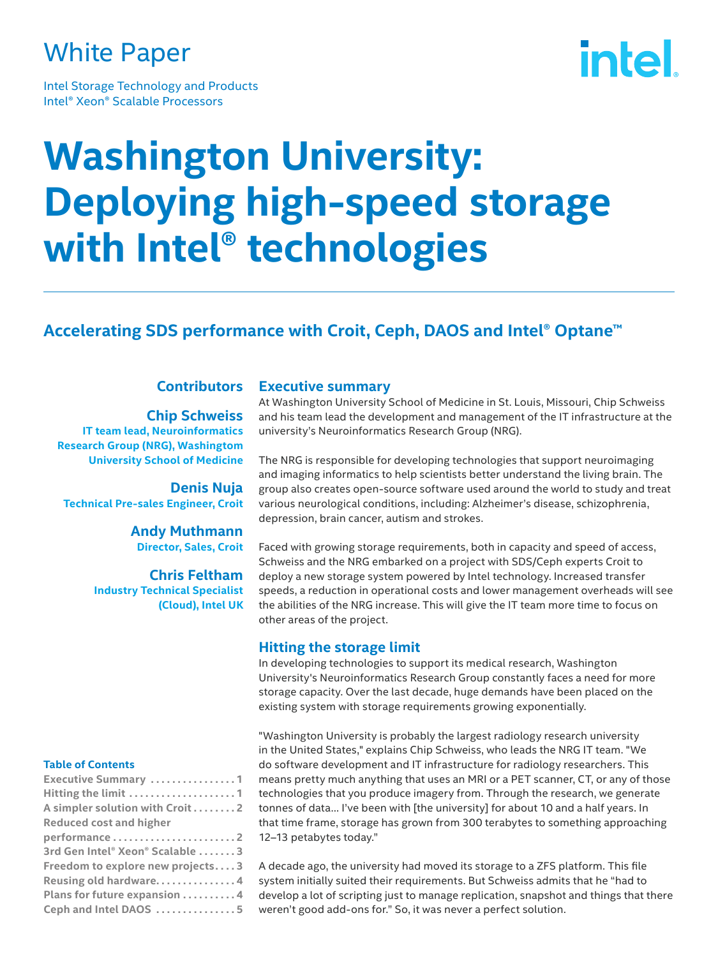## White Paper

Intel Storage Technology and Products Intel® Xeon® Scalable Processors

# intel.

## **Washington University: Deploying high-speed storage with Intel® technologies**

### **Accelerating SDS performance with Croit, Ceph, DAOS and Intel® Optane™**

#### **Contributors**

**Chip Schweiss IT team lead, Neuroinformatics Research Group (NRG), Washingtom University School of Medicine**

**Denis Nuja Technical Pre-sales Engineer, Croit**

> **Andy Muthmann Director, Sales, Croit**

**Chris Feltham Industry Technical Specialist (Cloud), Intel UK**

#### **Table of Contents**

| <b>Executive Summary</b> 1       |
|----------------------------------|
| Hitting the limit 1              |
| A simpler solution with Croit 2  |
| <b>Reduced cost and higher</b>   |
|                                  |
| 3rd Gen Intel® Xeon® Scalable 3  |
| Freedom to explore new projects3 |
| Reusing old hardware4            |
| Plans for future expansion 4     |
| Ceph and Intel DAOS 5            |

#### **Executive summary**

At Washington University School of Medicine in St. Louis, Missouri, Chip Schweiss and his team lead the development and management of the IT infrastructure at the university's Neuroinformatics Research Group (NRG).

The NRG is responsible for developing technologies that support neuroimaging and imaging informatics to help scientists better understand the living brain. The group also creates open-source software used around the world to study and treat various neurological conditions, including: Alzheimer's disease, schizophrenia, depression, brain cancer, autism and strokes.

Faced with growing storage requirements, both in capacity and speed of access, Schweiss and the NRG embarked on a project with SDS/Ceph experts Croit to deploy a new storage system powered by Intel technology. Increased transfer speeds, a reduction in operational costs and lower management overheads will see the abilities of the NRG increase. This will give the IT team more time to focus on other areas of the project.

#### **Hitting the storage limit**

In developing technologies to support its medical research, Washington University's Neuroinformatics Research Group constantly faces a need for more storage capacity. Over the last decade, huge demands have been placed on the existing system with storage requirements growing exponentially.

"Washington University is probably the largest radiology research university in the United States," explains Chip Schweiss, who leads the NRG IT team. "We do software development and IT infrastructure for radiology researchers. This means pretty much anything that uses an MRI or a PET scanner, CT, or any of those technologies that you produce imagery from. Through the research, we generate tonnes of data... I've been with [the university] for about 10 and a half years. In that time frame, storage has grown from 300 terabytes to something approaching 12–13 petabytes today."

A decade ago, the university had moved its storage to a ZFS platform. This file system initially suited their requirements. But Schweiss admits that he "had to develop a lot of scripting just to manage replication, snapshot and things that there weren't good add-ons for." So, it was never a perfect solution.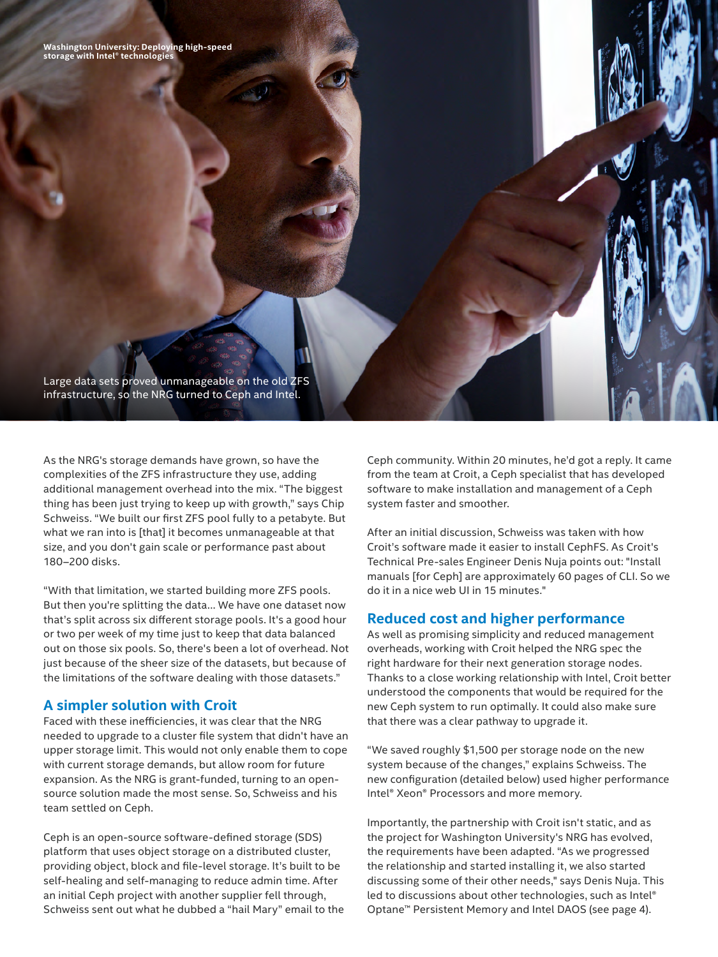**Washington University: Deploying high-speed storage with Intel® technologies**

Large data sets proved unmanageable on the old ZFS infrastructure, so the NRG turned to Ceph and Intel.

As the NRG's storage demands have grown, so have the complexities of the ZFS infrastructure they use, adding additional management overhead into the mix. "The biggest thing has been just trying to keep up with growth," says Chip Schweiss. "We built our first ZFS pool fully to a petabyte. But what we ran into is [that] it becomes unmanageable at that size, and you don't gain scale or performance past about 180–200 disks.

"With that limitation, we started building more ZFS pools. But then you're splitting the data... We have one dataset now that's split across six different storage pools. It's a good hour or two per week of my time just to keep that data balanced out on those six pools. So, there's been a lot of overhead. Not just because of the sheer size of the datasets, but because of the limitations of the software dealing with those datasets."

#### **A simpler solution with Croit**

Faced with these inefficiencies, it was clear that the NRG needed to upgrade to a cluster file system that didn't have an upper storage limit. This would not only enable them to cope with current storage demands, but allow room for future expansion. As the NRG is grant-funded, turning to an opensource solution made the most sense. So, Schweiss and his team settled on Ceph.

Ceph is an open-source software-defined storage (SDS) platform that uses object storage on a distributed cluster, providing object, block and file-level storage. It's built to be self-healing and self-managing to reduce admin time. After an initial Ceph project with another supplier fell through, Schweiss sent out what he dubbed a "hail Mary" email to the Ceph community. Within 20 minutes, he'd got a reply. It came from the team at Croit, a Ceph specialist that has developed software to make installation and management of a Ceph system faster and smoother.

After an initial discussion, Schweiss was taken with how Croit's software made it easier to install CephFS. As Croit's Technical Pre-sales Engineer Denis Nuja points out: "Install manuals [for Ceph] are approximately 60 pages of CLI. So we do it in a nice web UI in 15 minutes."

#### **Reduced cost and higher performance**

As well as promising simplicity and reduced management overheads, working with Croit helped the NRG spec the right hardware for their next generation storage nodes. Thanks to a close working relationship with Intel, Croit better understood the components that would be required for the new Ceph system to run optimally. It could also make sure that there was a clear pathway to upgrade it.

"We saved roughly \$1,500 per storage node on the new system because of the changes," explains Schweiss. The new configuration (detailed below) used higher performance Intel® Xeon® Processors and more memory.

Importantly, the partnership with Croit isn't static, and as the project for Washington University's NRG has evolved, the requirements have been adapted. "As we progressed the relationship and started installing it, we also started discussing some of their other needs," says Denis Nuja. This led to discussions about other technologies, such as Intel® Optane™ Persistent Memory and Intel DAOS (see page 4).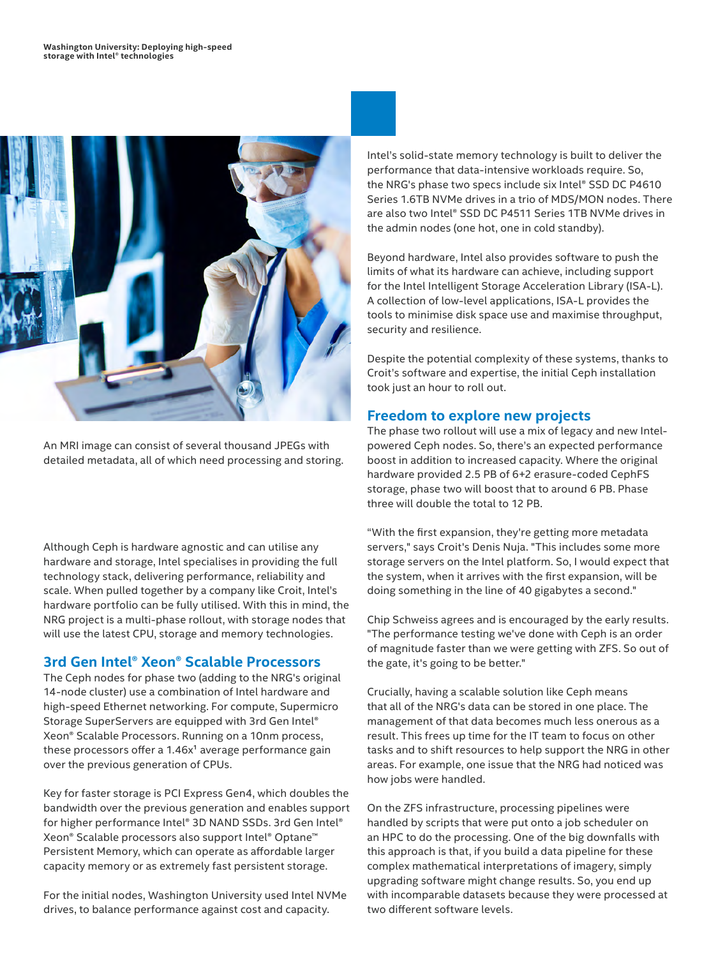

An MRI image can consist of several thousand JPEGs with detailed metadata, all of which need processing and storing.

Although Ceph is hardware agnostic and can utilise any hardware and storage, Intel specialises in providing the full technology stack, delivering performance, reliability and scale. When pulled together by a company like Croit, Intel's hardware portfolio can be fully utilised. With this in mind, the NRG project is a multi-phase rollout, with storage nodes that will use the latest CPU, storage and memory technologies.

#### **3rd Gen Intel® Xeon® Scalable Processors**

The Ceph nodes for phase two (adding to the NRG's original 14-node cluster) use a combination of Intel hardware and high-speed Ethernet networking. For compute, Supermicro Storage SuperServers are equipped with 3rd Gen Intel® Xeon® Scalable Processors. Running on a 10nm process, these processors offer a  $1.46x<sup>1</sup>$  average performance gain over the previous generation of CPUs.

Key for faster storage is PCI Express Gen4, which doubles the bandwidth over the previous generation and enables support for higher performance Intel® 3D NAND SSDs. 3rd Gen Intel® Xeon® Scalable processors also support Intel® Optane™ Persistent Memory, which can operate as affordable larger capacity memory or as extremely fast persistent storage.

For the initial nodes, Washington University used Intel NVMe drives, to balance performance against cost and capacity.

Intel's solid-state memory technology is built to deliver the performance that data-intensive workloads require. So, the NRG's phase two specs include six Intel® SSD DC P4610 Series 1.6TB NVMe drives in a trio of MDS/MON nodes. There are also two Intel® SSD DC P4511 Series 1TB NVMe drives in the admin nodes (one hot, one in cold standby).

Beyond hardware, Intel also provides software to push the limits of what its hardware can achieve, including support for the Intel Intelligent Storage Acceleration Library (ISA-L). A collection of low-level applications, ISA-L provides the tools to minimise disk space use and maximise throughput, security and resilience.

Despite the potential complexity of these systems, thanks to Croit's software and expertise, the initial Ceph installation took just an hour to roll out.

#### **Freedom to explore new projects**

The phase two rollout will use a mix of legacy and new Intelpowered Ceph nodes. So, there's an expected performance boost in addition to increased capacity. Where the original hardware provided 2.5 PB of 6+2 erasure-coded CephFS storage, phase two will boost that to around 6 PB. Phase three will double the total to 12 PB.

"With the first expansion, they're getting more metadata servers," says Croit's Denis Nuja. "This includes some more storage servers on the Intel platform. So, I would expect that the system, when it arrives with the first expansion, will be doing something in the line of 40 gigabytes a second."

Chip Schweiss agrees and is encouraged by the early results. "The performance testing we've done with Ceph is an order of magnitude faster than we were getting with ZFS. So out of the gate, it's going to be better."

Crucially, having a scalable solution like Ceph means that all of the NRG's data can be stored in one place. The management of that data becomes much less onerous as a result. This frees up time for the IT team to focus on other tasks and to shift resources to help support the NRG in other areas. For example, one issue that the NRG had noticed was how jobs were handled.

On the ZFS infrastructure, processing pipelines were handled by scripts that were put onto a job scheduler on an HPC to do the processing. One of the big downfalls with this approach is that, if you build a data pipeline for these complex mathematical interpretations of imagery, simply upgrading software might change results. So, you end up with incomparable datasets because they were processed at two different software levels.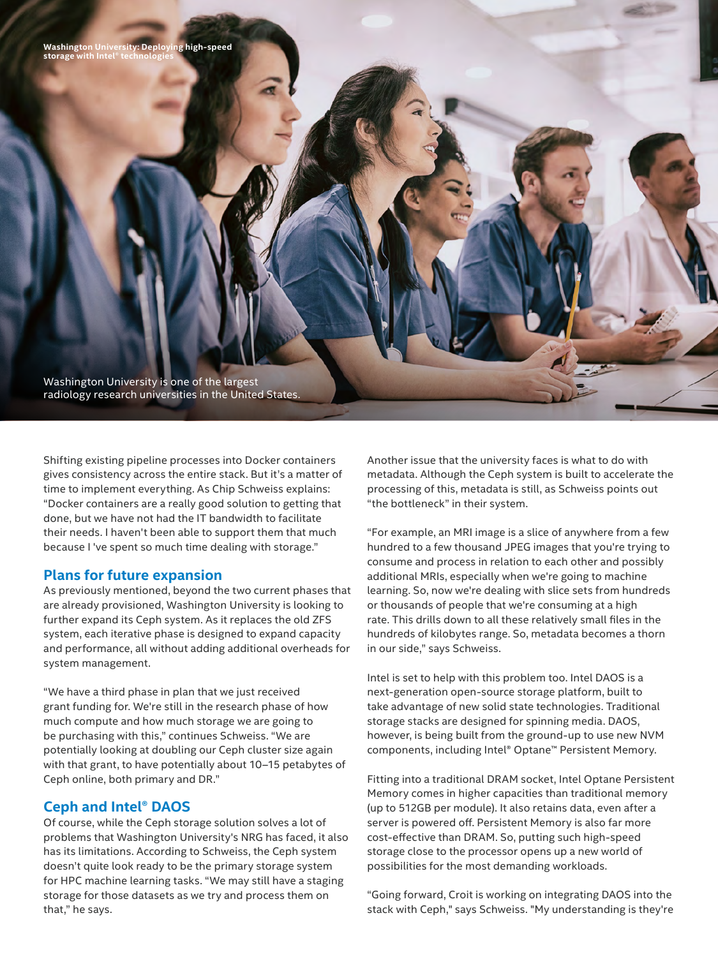Washington University is one of the largest radiology research universities in the United States.

Shifting existing pipeline processes into Docker containers gives consistency across the entire stack. But it's a matter of time to implement everything. As Chip Schweiss explains: "Docker containers are a really good solution to getting that done, but we have not had the IT bandwidth to facilitate their needs. I haven't been able to support them that much because I 've spent so much time dealing with storage."

#### **Plans for future expansion**

As previously mentioned, beyond the two current phases that are already provisioned, Washington University is looking to further expand its Ceph system. As it replaces the old ZFS system, each iterative phase is designed to expand capacity and performance, all without adding additional overheads for system management.

"We have a third phase in plan that we just received grant funding for. We're still in the research phase of how much compute and how much storage we are going to be purchasing with this," continues Schweiss. "We are potentially looking at doubling our Ceph cluster size again with that grant, to have potentially about 10–15 petabytes of Ceph online, both primary and DR."

#### **Ceph and Intel® DAOS**

Of course, while the Ceph storage solution solves a lot of problems that Washington University's NRG has faced, it also has its limitations. According to Schweiss, the Ceph system doesn't quite look ready to be the primary storage system for HPC machine learning tasks. "We may still have a staging storage for those datasets as we try and process them on that," he says.

Another issue that the university faces is what to do with metadata. Although the Ceph system is built to accelerate the processing of this, metadata is still, as Schweiss points out "the bottleneck" in their system.

"For example, an MRI image is a slice of anywhere from a few hundred to a few thousand JPEG images that you're trying to consume and process in relation to each other and possibly additional MRIs, especially when we're going to machine learning. So, now we're dealing with slice sets from hundreds or thousands of people that we're consuming at a high rate. This drills down to all these relatively small files in the hundreds of kilobytes range. So, metadata becomes a thorn in our side," says Schweiss.

Intel is set to help with this problem too. Intel DAOS is a next-generation open-source storage platform, built to take advantage of new solid state technologies. Traditional storage stacks are designed for spinning media. DAOS, however, is being built from the ground-up to use new NVM components, including Intel® Optane™ Persistent Memory.

Fitting into a traditional DRAM socket, Intel Optane Persistent Memory comes in higher capacities than traditional memory (up to 512GB per module). It also retains data, even after a server is powered off. Persistent Memory is also far more cost-effective than DRAM. So, putting such high-speed storage close to the processor opens up a new world of possibilities for the most demanding workloads.

"Going forward, Croit is working on integrating DAOS into the stack with Ceph," says Schweiss. "My understanding is they're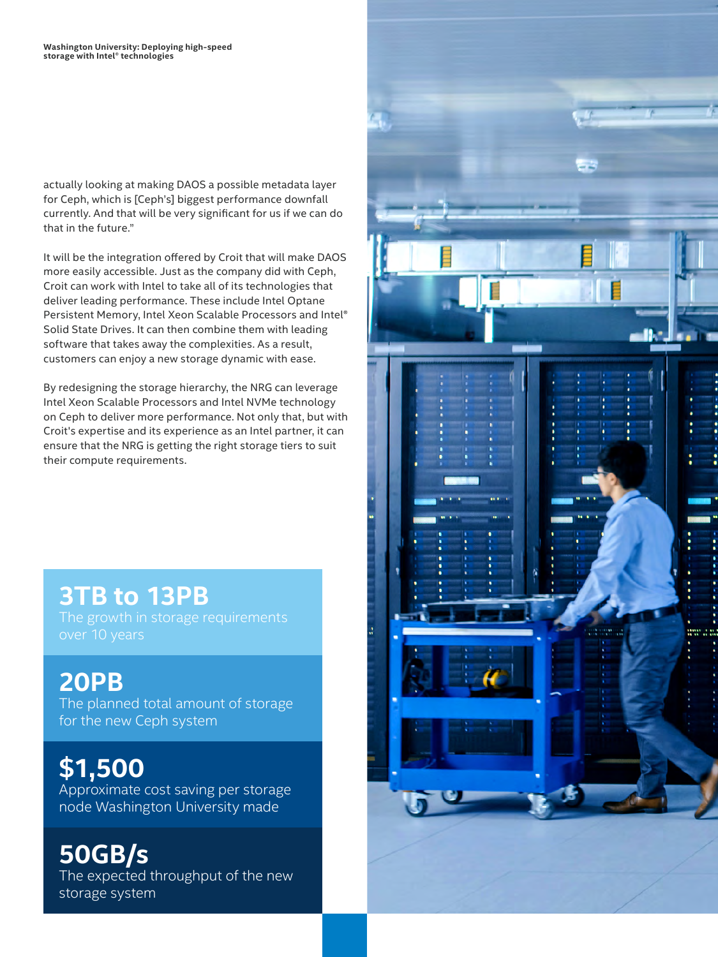actually looking at making DAOS a possible metadata layer for Ceph, which is [Ceph's] biggest performance downfall currently. And that will be very significant for us if we can do that in the future."

It will be the integration offered by Croit that will make DAOS more easily accessible. Just as the company did with Ceph, Croit can work with Intel to take all of its technologies that deliver leading performance. These include Intel Optane Persistent Memory, Intel Xeon Scalable Processors and Intel® Solid State Drives. It can then combine them with leading software that takes away the complexities. As a result, customers can enjoy a new storage dynamic with ease.

By redesigning the storage hierarchy, the NRG can leverage Intel Xeon Scalable Processors and Intel NVMe technology on Ceph to deliver more performance. Not only that, but with Croit's expertise and its experience as an Intel partner, it can ensure that the NRG is getting the right storage tiers to suit their compute requirements.

## **3TB to 13PB**

## **20PB**

The planned total amount of storage for the new Ceph system

**\$1,500** Approximate cost saving per storage node Washington University made

**50GB/s** The expected throughput of the new storage system